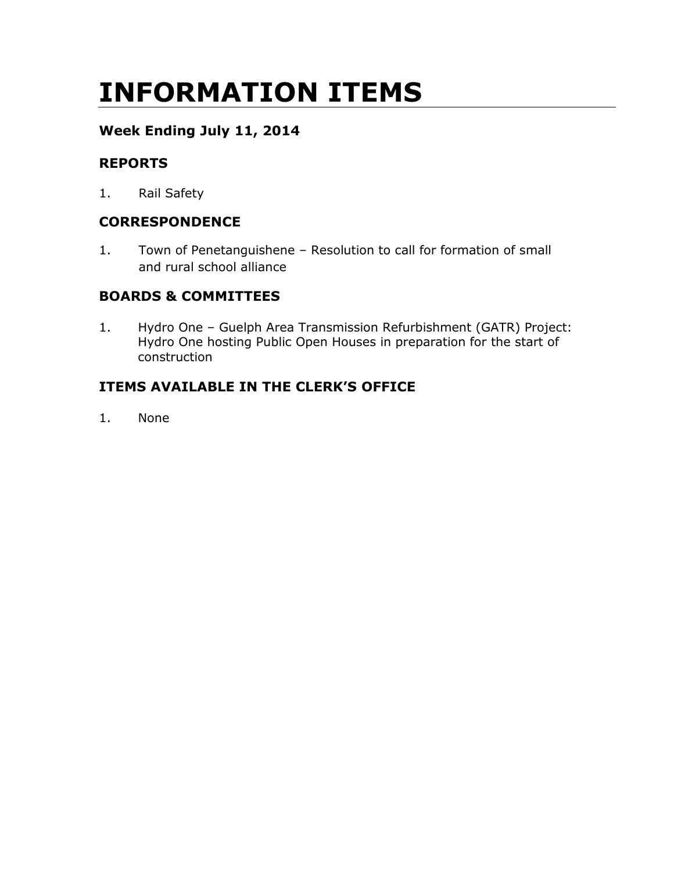# INFORMATION ITEMS

## Week Ending July 11, 2014

## REPORTS

1. Rail Safety

## **CORRESPONDENCE**

1. Town of Penetanguishene – Resolution to call for formation of small and rural school alliance

## BOARDS & COMMITTEES

1. Hydro One – Guelph Area Transmission Refurbishment (GATR) Project: Hydro One hosting Public Open Houses in preparation for the start of construction

## ITEMS AVAILABLE IN THE CLERK'S OFFICE

1. None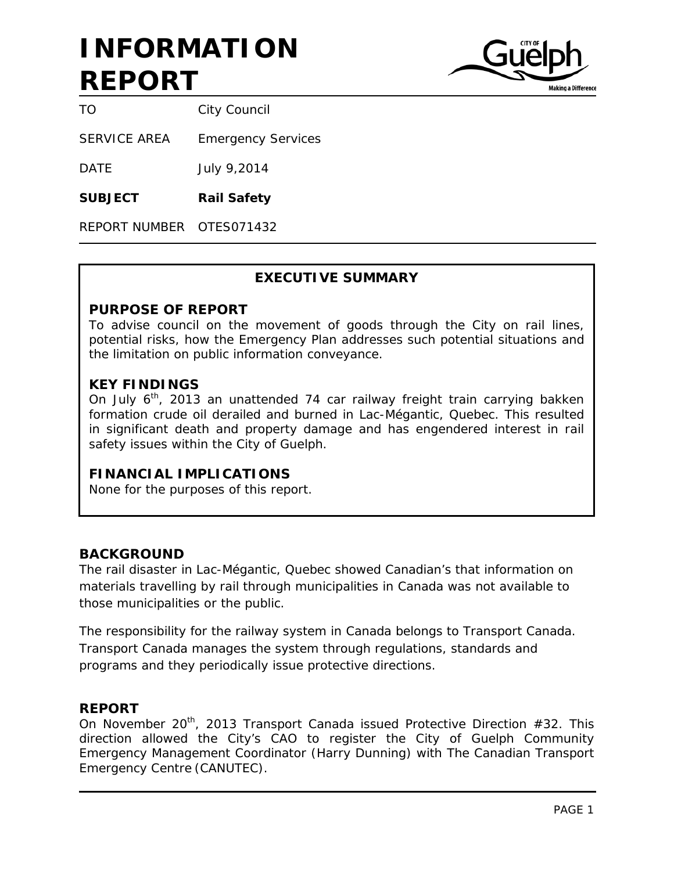

TO City Council

SERVICE AREA Emergency Services

DATE July 9,2014

**SUBJECT Rail Safety**

REPORT NUMBER OTES071432

## **EXECUTIVE SUMMARY**

#### **PURPOSE OF REPORT**

To advise council on the movement of goods through the City on rail lines, potential risks, how the Emergency Plan addresses such potential situations and the limitation on public information conveyance.

### **KEY FINDINGS**

On July  $6<sup>th</sup>$ , 2013 an unattended 74 car railway freight train carrying bakken formation crude oil derailed and burned in Lac-Mégantic, Quebec. This resulted in significant death and property damage and has engendered interest in rail safety issues within the City of Guelph.

### **FINANCIAL IMPLICATIONS**

None for the purposes of this report.

### **BACKGROUND**

The rail disaster in Lac-Mégantic, Quebec showed Canadian's that information on materials travelling by rail through municipalities in Canada was not available to those municipalities or the public.

The responsibility for the railway system in Canada belongs to Transport Canada. Transport Canada manages the system through regulations, standards and programs and they periodically issue protective directions.

#### **REPORT**

On November 20<sup>th</sup>, 2013 Transport Canada issued Protective Direction #32. This direction allowed the City's CAO to register the City of Guelph Community Emergency Management Coordinator (Harry Dunning) with The Canadian Transport Emergency Centre (CANUTEC).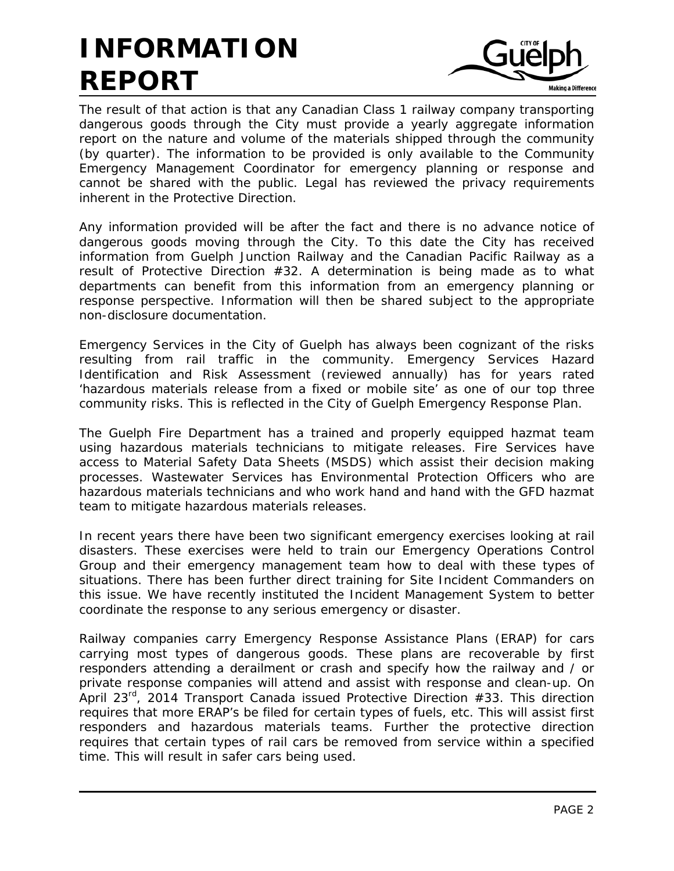

The result of that action is that any Canadian Class 1 railway company transporting dangerous goods through the City must provide a yearly aggregate information report on the nature and volume of the materials shipped through the community (by quarter). The information to be provided is only available to the Community Emergency Management Coordinator for emergency planning or response and cannot be shared with the public. Legal has reviewed the privacy requirements inherent in the Protective Direction.

Any information provided will be after the fact and there is no advance notice of dangerous goods moving through the City. To this date the City has received information from Guelph Junction Railway and the Canadian Pacific Railway as a result of Protective Direction #32. A determination is being made as to what departments can benefit from this information from an emergency planning or response perspective. Information will then be shared subject to the appropriate non-disclosure documentation.

Emergency Services in the City of Guelph has always been cognizant of the risks resulting from rail traffic in the community. Emergency Services Hazard Identification and Risk Assessment (reviewed annually) has for years rated 'hazardous materials release from a fixed or mobile site' as one of our top three community risks. This is reflected in the City of Guelph Emergency Response Plan.

The Guelph Fire Department has a trained and properly equipped hazmat team using hazardous materials technicians to mitigate releases. Fire Services have access to Material Safety Data Sheets (MSDS) which assist their decision making processes. Wastewater Services has Environmental Protection Officers who are hazardous materials technicians and who work hand and hand with the GFD hazmat team to mitigate hazardous materials releases.

In recent years there have been two significant emergency exercises looking at rail disasters. These exercises were held to train our Emergency Operations Control Group and their emergency management team how to deal with these types of situations. There has been further direct training for Site Incident Commanders on this issue. We have recently instituted the Incident Management System to better coordinate the response to any serious emergency or disaster.

Railway companies carry Emergency Response Assistance Plans (ERAP) for cars carrying most types of dangerous goods. These plans are recoverable by first responders attending a derailment or crash and specify how the railway and / or private response companies will attend and assist with response and clean-up. On April 23 $^{rd}$ , 2014 Transport Canada issued Protective Direction #33. This direction requires that more ERAP's be filed for certain types of fuels, etc. This will assist first responders and hazardous materials teams. Further the protective direction requires that certain types of rail cars be removed from service within a specified time. This will result in safer cars being used.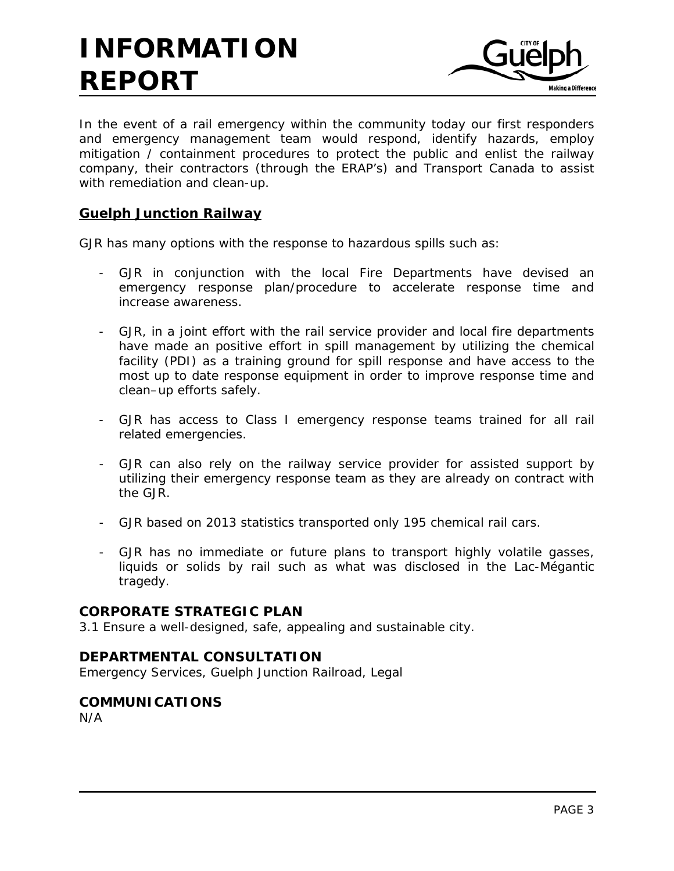

In the event of a rail emergency within the community today our first responders and emergency management team would respond, identify hazards, employ mitigation / containment procedures to protect the public and enlist the railway company, their contractors (through the ERAP's) and Transport Canada to assist with remediation and clean-up.

## **Guelph Junction Railway**

GJR has many options with the response to hazardous spills such as:

- GJR in conjunction with the local Fire Departments have devised an emergency response plan/procedure to accelerate response time and increase awareness.
- GJR, in a joint effort with the rail service provider and local fire departments have made an positive effort in spill management by utilizing the chemical facility (PDI) as a training ground for spill response and have access to the most up to date response equipment in order to improve response time and clean–up efforts safely.
- GJR has access to Class I emergency response teams trained for all rail related emergencies.
- GJR can also rely on the railway service provider for assisted support by utilizing their emergency response team as they are already on contract with the GJR.
- GJR based on 2013 statistics transported only 195 chemical rail cars.
- GJR has no immediate or future plans to transport highly volatile gasses, liquids or solids by rail such as what was disclosed in the Lac-Mégantic tragedy.

## **CORPORATE STRATEGIC PLAN**

3.1 Ensure a well-designed, safe, appealing and sustainable city.

### **DEPARTMENTAL CONSULTATION**

Emergency Services, Guelph Junction Railroad, Legal

### **COMMUNICATIONS**

N/A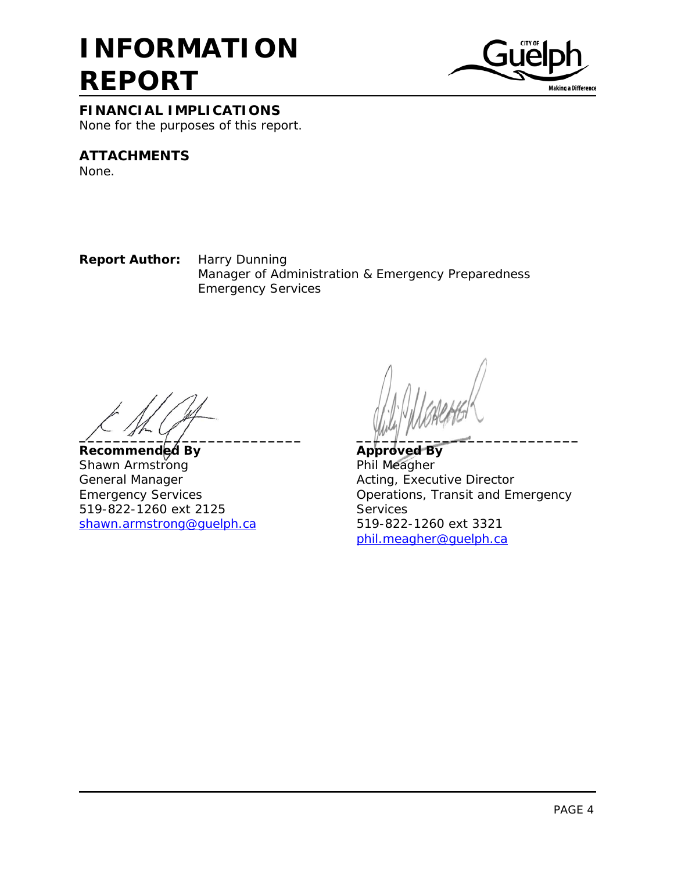

#### **FINANCIAL IMPLICATIONS**

None for the purposes of this report.

## **ATTACHMENTS**

None.

**Report Author:** Harry Dunning Manager of Administration & Emergency Preparedness Emergency Services

**\_\_\_\_\_\_\_\_\_\_\_\_\_\_\_\_\_\_\_\_\_\_\_\_\_\_ \_\_\_\_\_\_\_\_\_\_\_\_\_\_\_\_\_\_\_\_\_\_\_\_\_\_**

**Recommended By Approved By** Shawn Armstrong **Phil Meagher** General Manager **Acting, Executive Director** 519-822-1260 ext 2125 Services shawn.armstrong@guelph.ca

Emergency Services Operations, Transit and Emergency [phil.meagher@guelph.ca](mailto:phil.meagher@guelph.ca)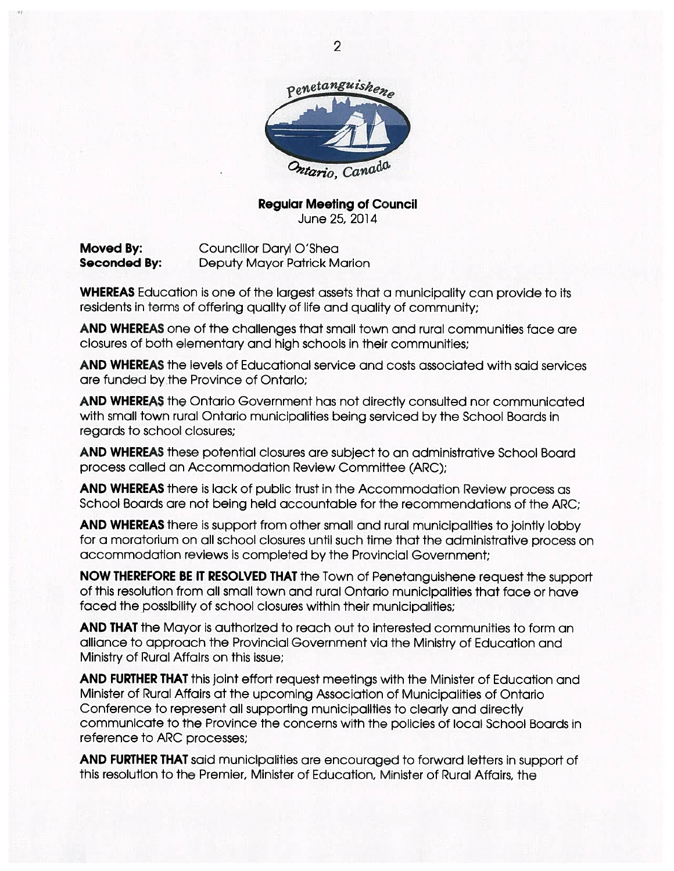

#### **Regular Meeting of Council** June 25, 2014

Moved By: Councillor Daryl O'Shea **Seconded By: Deputy Mayor Patrick Marion** 

**WHEREAS** Education is one of the largest assets that a municipality can provide to its residents in terms of offering quality of life and quality of community;

**AND WHEREAS** one of the challenges that small town and rural communities face are closures of both elementary and high schools in their communities;

**AND WHEREAS** the levels of Educational service and costs associated with said services are funded by the Province of Ontarlo:

**AND WHEREAS** the Ontario Government has not directly consulted nor communicated with small town rural Ontario municipalities being serviced by the School Boards in regards to school closures:

**AND WHEREAS** these potential closures are subject to an administrative School Board process called an Accommodation Review Committee (ARC);

AND WHEREAS there is lack of public trust in the Accommodation Review process as School Boards are not being held accountable for the recommendations of the ARC;

AND WHEREAS there is support from other small and rural municipalities to jointly lobby for a moratorium on all school closures until such time that the administrative process on accommodation reviews is completed by the Provincial Government;

NOW THEREFORE BE IT RESOLVED THAT the Town of Penetanguishene request the support of this resolution from all small town and rural Ontario municipalities that face or have faced the possibility of school closures within their municipalities;

**AND THAT** the Mayor is authorized to reach out to interested communities to form an alliance to approach the Provincial Government via the Ministry of Education and Ministry of Rural Affairs on this issue;

AND FURTHER THAT this joint effort request meetings with the Minister of Education and Minister of Rural Affairs at the upcoming Association of Municipalities of Ontario Conference to represent all supporting municipalities to clearly and directly communicate to the Province the concerns with the policies of local School Boards in reference to ARC processes;

AND FURTHER THAT said municipalities are encouraged to forward letters in support of this resolution to the Premier, Minister of Education, Minister of Rural Affairs, the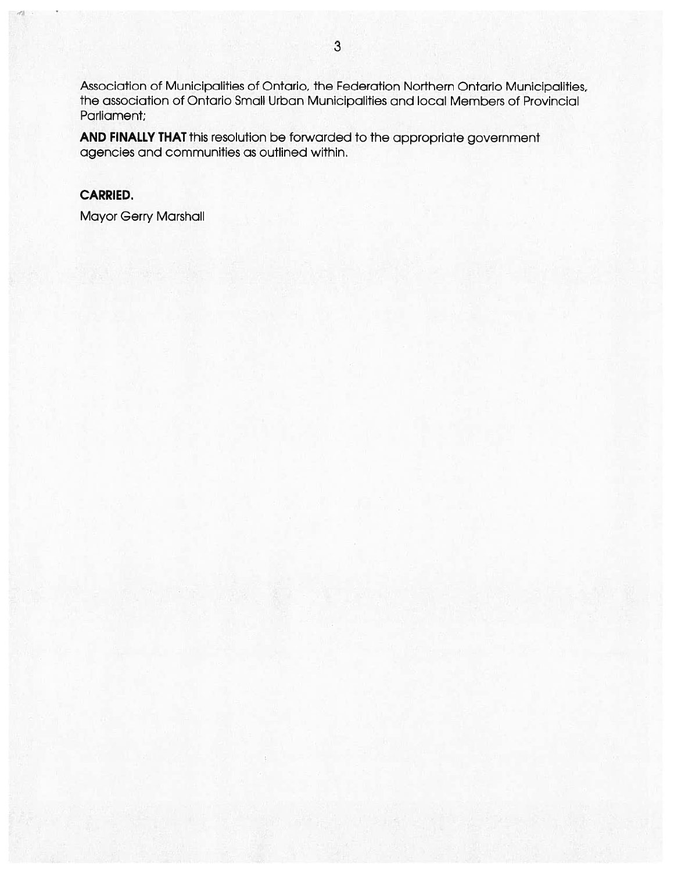Association of Municipalities of Ontario, the Federation Northern Ontario Municipalities, the association of Ontario Small Urban Municipalities and local Members of Provincial Parliament;

AND FINALLY THAT this resolution be forwarded to the appropriate government agencies and communities as outlined within.

## **CARRIED.**

**Mayor Gerry Marshall**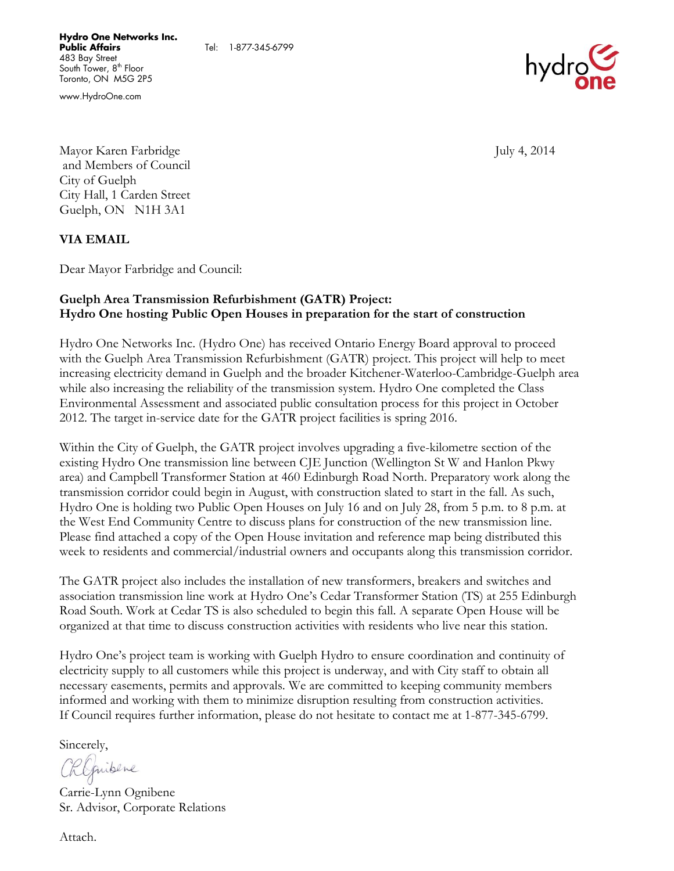www.HydroOne.com



Mayor Karen Farbridge July 4, 2014 and Members of Council City of Guelph City Hall, 1 Carden Street Guelph, ON N1H 3A1

**VIA EMAIL**

Dear Mayor Farbridge and Council:

#### **Guelph Area Transmission Refurbishment (GATR) Project: Hydro One hosting Public Open Houses in preparation for the start of construction**

Tel: 1-877-345-6799

Hydro One Networks Inc. (Hydro One) has received Ontario Energy Board approval to proceed with the Guelph Area Transmission Refurbishment (GATR) project. This project will help to meet increasing electricity demand in Guelph and the broader Kitchener-Waterloo-Cambridge-Guelph area while also increasing the reliability of the transmission system. Hydro One completed the Class Environmental Assessment and associated public consultation process for this project in October 2012. The target in-service date for the GATR project facilities is spring 2016.

Within the City of Guelph, the GATR project involves upgrading a five-kilometre section of the existing Hydro One transmission line between CJE Junction (Wellington St W and Hanlon Pkwy area) and Campbell Transformer Station at 460 Edinburgh Road North. Preparatory work along the transmission corridor could begin in August, with construction slated to start in the fall. As such, Hydro One is holding two Public Open Houses on July 16 and on July 28, from 5 p.m. to 8 p.m. at the West End Community Centre to discuss plans for construction of the new transmission line. Please find attached a copy of the Open House invitation and reference map being distributed this week to residents and commercial/industrial owners and occupants along this transmission corridor.

The GATR project also includes the installation of new transformers, breakers and switches and association transmission line work at Hydro One's Cedar Transformer Station (TS) at 255 Edinburgh Road South. Work at Cedar TS is also scheduled to begin this fall. A separate Open House will be organized at that time to discuss construction activities with residents who live near this station.

Hydro One's project team is working with Guelph Hydro to ensure coordination and continuity of electricity supply to all customers while this project is underway, and with City staff to obtain all necessary easements, permits and approvals. We are committed to keeping community members informed and working with them to minimize disruption resulting from construction activities. If Council requires further information, please do not hesitate to contact me at 1-877-345-6799.

Sincerely,

Chlepibere

Carrie-Lynn Ognibene Sr. Advisor, Corporate Relations

Attach.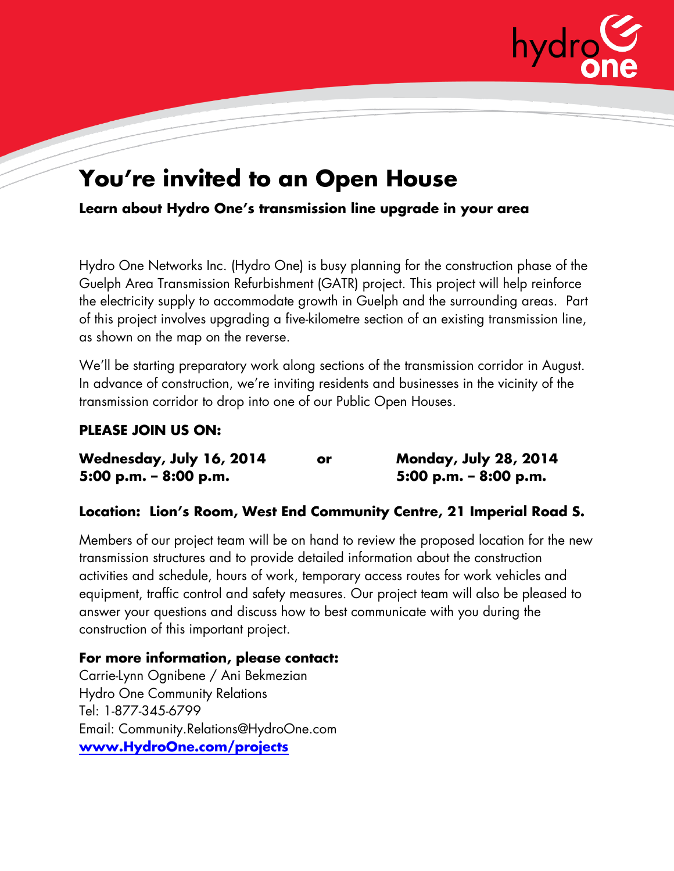

## **You're invited to an Open House**

**Learn about Hydro One's transmission line upgrade in your area**

Hydro One Networks Inc. (Hydro One) is busy planning for the construction phase of the Guelph Area Transmission Refurbishment (GATR) project. This project will help reinforce the electricity supply to accommodate growth in Guelph and the surrounding areas. Part of this project involves upgrading a five-kilometre section of an existing transmission line, as shown on the map on the reverse.

We'll be starting preparatory work along sections of the transmission corridor in August. In advance of construction, we're inviting residents and businesses in the vicinity of the transmission corridor to drop into one of our Public Open Houses.

## **PLEASE JOIN US ON:**

| Wednesday, July 16, 2014 | or | <b>Monday, July 28, 2014</b> |
|--------------------------|----|------------------------------|
| 5:00 p.m. $-$ 8:00 p.m.  |    | $5:00$ p.m. – $8:00$ p.m.    |

## **Location: Lion's Room, West End Community Centre, 21 Imperial Road S.**

Members of our project team will be on hand to review the proposed location for the new transmission structures and to provide detailed information about the construction activities and schedule, hours of work, temporary access routes for work vehicles and equipment, traffic control and safety measures. Our project team will also be pleased to answer your questions and discuss how to best communicate with you during the construction of this important project.

**For more information, please contact:** Carrie-Lynn Ognibene / Ani Bekmezian Hydro One Community Relations Tel: 1-877-345-6799 Email: Community.Relations@HydroOne.com **[www.HydroOne.com/projects](http://www.hydroone.com/projects)**